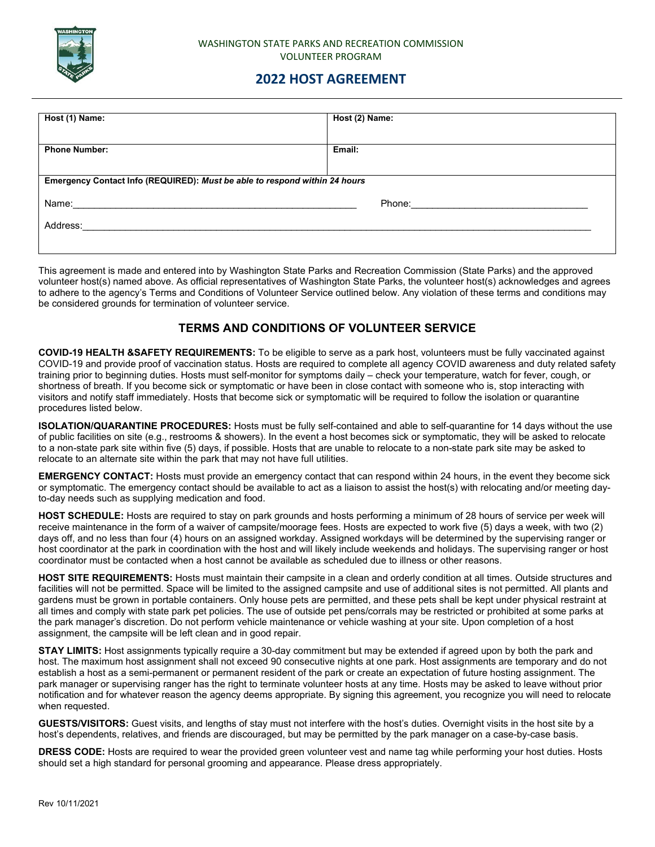

## WASHINGTON STATE PARKS AND RECREATION COMMISSION VOLUNTEER PROGRAM

## **2022 HOST AGREEMENT**

| Host (1) Name:                                                             | Host (2) Name:                                                                                                                                                                                                                 |  |
|----------------------------------------------------------------------------|--------------------------------------------------------------------------------------------------------------------------------------------------------------------------------------------------------------------------------|--|
| <b>Phone Number:</b>                                                       | Email:                                                                                                                                                                                                                         |  |
| Emergency Contact Info (REQUIRED): Must be able to respond within 24 hours |                                                                                                                                                                                                                                |  |
| Name:                                                                      | Phone: The contract of the contract of the contract of the contract of the contract of the contract of the contract of the contract of the contract of the contract of the contract of the contract of the contract of the con |  |
| Address:                                                                   |                                                                                                                                                                                                                                |  |
|                                                                            |                                                                                                                                                                                                                                |  |

This agreement is made and entered into by Washington State Parks and Recreation Commission (State Parks) and the approved volunteer host(s) named above. As official representatives of Washington State Parks, the volunteer host(s) acknowledges and agrees to adhere to the agency's Terms and Conditions of Volunteer Service outlined below. Any violation of these terms and conditions may be considered grounds for termination of volunteer service.

## **TERMS AND CONDITIONS OF VOLUNTEER SERVICE**

**COVID-19 HEALTH &SAFETY REQUIREMENTS:** To be eligible to serve as a park host, volunteers must be fully vaccinated against COVID-19 and provide proof of vaccination status. Hosts are required to complete all agency COVID awareness and duty related safety training prior to beginning duties. Hosts must self-monitor for symptoms daily – check your temperature, watch for fever, cough, or shortness of breath. If you become sick or symptomatic or have been in close contact with someone who is, stop interacting with visitors and notify staff immediately. Hosts that become sick or symptomatic will be required to follow the isolation or quarantine procedures listed below.

**ISOLATION/QUARANTINE PROCEDURES:** Hosts must be fully self-contained and able to self-quarantine for 14 days without the use of public facilities on site (e.g., restrooms & showers). In the event a host becomes sick or symptomatic, they will be asked to relocate to a non-state park site within five (5) days, if possible. Hosts that are unable to relocate to a non-state park site may be asked to relocate to an alternate site within the park that may not have full utilities.

**EMERGENCY CONTACT:** Hosts must provide an emergency contact that can respond within 24 hours, in the event they become sick or symptomatic. The emergency contact should be available to act as a liaison to assist the host(s) with relocating and/or meeting dayto-day needs such as supplying medication and food.

**HOST SCHEDULE:** Hosts are required to stay on park grounds and hosts performing a minimum of 28 hours of service per week will receive maintenance in the form of a waiver of campsite/moorage fees. Hosts are expected to work five (5) days a week, with two (2) days off, and no less than four (4) hours on an assigned workday. Assigned workdays will be determined by the supervising ranger or host coordinator at the park in coordination with the host and will likely include weekends and holidays. The supervising ranger or host coordinator must be contacted when a host cannot be available as scheduled due to illness or other reasons.

**HOST SITE REQUIREMENTS:** Hosts must maintain their campsite in a clean and orderly condition at all times. Outside structures and facilities will not be permitted. Space will be limited to the assigned campsite and use of additional sites is not permitted. All plants and gardens must be grown in portable containers. Only house pets are permitted, and these pets shall be kept under physical restraint at all times and comply with state park pet policies. The use of outside pet pens/corrals may be restricted or prohibited at some parks at the park manager's discretion. Do not perform vehicle maintenance or vehicle washing at your site. Upon completion of a host assignment, the campsite will be left clean and in good repair.

**STAY LIMITS:** Host assignments typically require a 30-day commitment but may be extended if agreed upon by both the park and host. The maximum host assignment shall not exceed 90 consecutive nights at one park. Host assignments are temporary and do not establish a host as a semi-permanent or permanent resident of the park or create an expectation of future hosting assignment. The park manager or supervising ranger has the right to terminate volunteer hosts at any time. Hosts may be asked to leave without prior notification and for whatever reason the agency deems appropriate. By signing this agreement, you recognize you will need to relocate when requested.

**GUESTS/VISITORS:** Guest visits, and lengths of stay must not interfere with the host's duties. Overnight visits in the host site by a host's dependents, relatives, and friends are discouraged, but may be permitted by the park manager on a case-by-case basis.

**DRESS CODE:** Hosts are required to wear the provided green volunteer vest and name tag while performing your host duties. Hosts should set a high standard for personal grooming and appearance. Please dress appropriately.